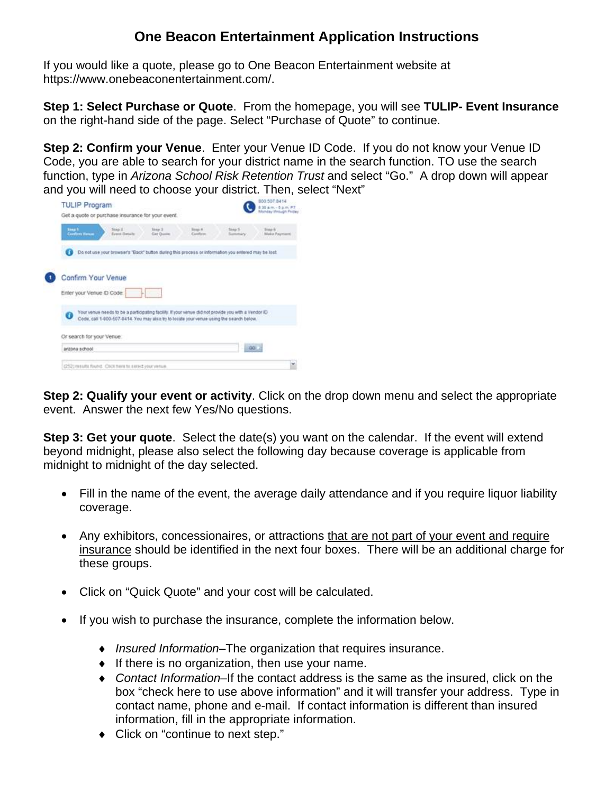## **One Beacon Entertainment Application Instructions**

If you would like a quote, please go to One Beacon Entertainment website at [https://www.onebeaconentertainment.com/.](https://www.onebeaconentertainment.com/)

**Step 1: Select Purchase or Quote**. From the homepage, you will see **TULIP- Event Insurance** on the right-hand side of the page. Select "Purchase of Quote" to continue.

**Step 2: Confirm your Venue**. Enter your Venue ID Code. If you do not know your Venue ID Code, you are able to search for your district name in the search function. TO use the search function, type in *Arizona School Risk Retention Trust* and select "Go." A drop down will appear



**Step 2: Qualify your event or activity**. Click on the drop down menu and select the appropriate event. Answer the next few Yes/No questions.

**Step 3: Get your quote.** Select the date(s) you want on the calendar. If the event will extend beyond midnight, please also select the following day because coverage is applicable from midnight to midnight of the day selected.

- Fill in the name of the event, the average daily attendance and if you require liquor liability coverage.
- Any exhibitors, concessionaires, or attractions that are not part of your event and require insurance should be identified in the next four boxes. There will be an additional charge for these groups.
- Click on "Quick Quote" and your cost will be calculated.
- If you wish to purchase the insurance, complete the information below.
	- ♦ *Insured Information*–The organization that requires insurance.
	- ♦ If there is no organization, then use your name.
	- ♦ *Contact Information*–If the contact address is the same as the insured, click on the box "check here to use above information" and it will transfer your address. Type in contact name, phone and e-mail. If contact information is different than insured information, fill in the appropriate information.
	- ♦ Click on "continue to next step."